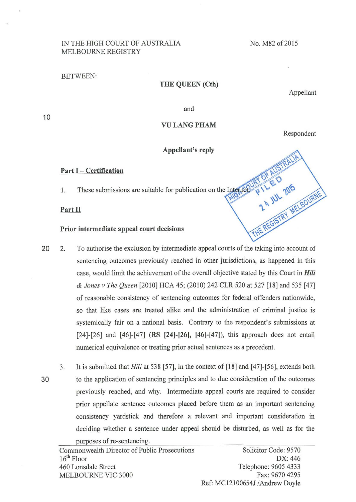# IN THE HIGH COURT OF AUSTRALIA MELBOURNE REGISTRY

#### No. M82 of 2015

#### BETWEEN:

### **THE QUEEN (Cth)**

Appellant

and

# **VULANGPHAM**

Respondent

### **Appellant's reply**

**Alm** 

### **Part** I - **Certification**

1. These submissions are suitable for publication on the Internet

### **Part II**

# **Prior intermediate appeal court decisions**

- 20 2. To authorise the exclusion by intermediate appeal courts of the taking into account of sentencing outcomes previously reached in other jurisdictions, as happened in this case, would limit the achievement of the overall objective stated by this Court in *Hili*  & *Jones v The Queen* [2010] HCA 45; (2010) 242 CLR 520 at 527 [18] and 535 [47] of reasonable consistency of sentencing outcomes for federal offenders nationwide, so that like cases are treated alike and the administration of criminal justice is systemically fair on a national basis. Contrary to the respondent's submissions at [24]-[26] and [46]-[47] **(RS [24]-[26], [46)-[47]),** this approach does not entail numerical equivalence or treating prior actual sentences as a precedent.
- 3. It is submitted that *Hili* at 538 [57], in the context of [18] and [47]-[56], extends both 30 to the application of sentencing principles and to due consideration of the outcomes previously reached, and why. Intermediate appeal courts are required to consider prior appellate sentence outcomes placed before them as an important sentencing consistency yardstick and therefore a relevant and important consideration in deciding whether a sentence under appeal should be disturbed, as well as for the purposes of re-sentencing.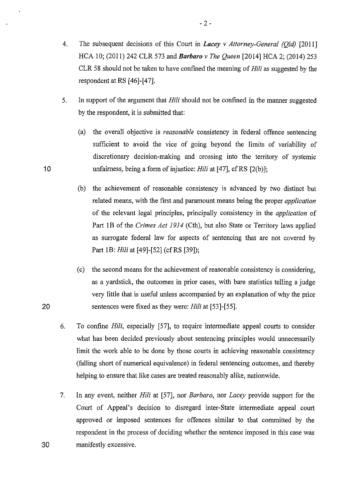- 4. The subsequent decisions of this Court in *Lacey v Attorney-General (Qld)* [2011] HCA 10; (2011) 242 CLR 573 and *Barbaro v The Queen* [2014] HCA 2; (2014) 253 CLR 58 should not be taken to have confined the meaning of Hili as suggested by the respondent at RS [46]-[47].
- 5. In support of the argument that Hili should not be confined in the manner suggested by the respondent, it is submitted that:
	- (a) the overall objective is *reasonable* consistency in federal offence sentencing sufficient to avoid the vice of going beyond the limits of variability of discretionary decision-making and crossing into the territory of systemic unfairness, being a form of injustice: *Hili* at [47], cfRS [2(b)];
	- (b) the achievement of reasonable consistency is advanced by two distinct but related means, with the first and paramount means being the proper *application*  of the relevant legal principles, principally consistency in the *application* of Part 1B of the *Crimes Act 1914* (Cth), but also State or Territory laws applied as surrogate federal law for aspects of sentencing that are not covered by Part 1B: *Hili* at [49]-[52] (cf RS [39]);
- (c) the second means for the achievement of reasonable consistency is considering, as a yardstick, the outcomes in prior cases, with bare statistics telling a judge very little that is useful unless accompanied by an explanation of why the prior 20 sentences were fixed as they were: *Hili* at [53]-[55].
	- 6. To confine *Hili,* especially [57], to require intermediate appeal courts to consider what has been decided previously about sentencing principles would unnecessarily limit the work able to be done by those courts in achieving reasonable consistency (falling short of numerical equivalence) in federal sentencing outcomes, and thereby helping to ensure that like cases are treated reasonably alike, nationwide.
- 7. . In any event, neither *Hili* at [57], nor *Barbaro,* nor *Lacey* provide support for the Court of Appeal's decision to disregard inter-State intermediate appeal court approved or imposed sentences for offences similar to that committed by the respondent in the process of deciding whether the sentence imposed in this case was 30 manifestly excessive.

10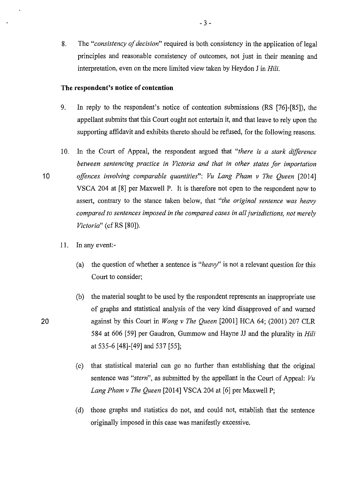8. The *"consistency of decision"* required is both consistency in the application of legal principles and reasonable consistency of outcomes, not just in their meaning and interpretation, even on the more limited view taken by Heydon J in Hili.

### **The respondent's notice of contention**

- 9. In reply to the respondent's notice of contention submissions (RS [76]-[85]), the appellant submits that this Court ought not entertain it, and that leave to rely upon the supporting affidavit and exhibits thereto should be refused, for the following reasons.
- 10. In the Court of Appeal, the respondent argued that "there is a stark difference *between sentencing practice in Victoria and that in other states for importation*  10 *offences involving comparable quantities": Vu Lang Pham v The Queen* [2014] VSCA 204 at [8] per Maxwell P. It is therefore not open to the respondent now to assert, contrary to the stance taken below, that *"the original sentence was heavy compared to sentences imposed in the compared cases in all jurisdictions, not merely Victoria*" (cf RS [80]).
	- 11. In any event:-
		- (a) the question of whether a sentence is *"heavy"* is not a relevant question for this Court to consider;
- (b) the material sought to be used by the respondent represents an inappropriate use of graphs and statistical analysis of the very kind disapproved of and warned 20 against by this Court in *Wong v The Queen* [2001] HCA 64; (2001) 207 CLR 584 at 606 [59] per Gaudron, Gummow and Hayne JJ and the plurality in *Hili*  at 535-6 [48]-[49] and 537 [55];
	- (c) that statistical material can go no further than establishing that the original sentence was *"stern",* as submitted by the appellant in the Court of Appeal: *Vu Lang Pham v The Queen* [2014] VSCA 204 at [6] per Maxwell P;
	- (d) those graphs and statistics do not, and could not, establish that the sentence originally imposed in this case was manifestly excessive.